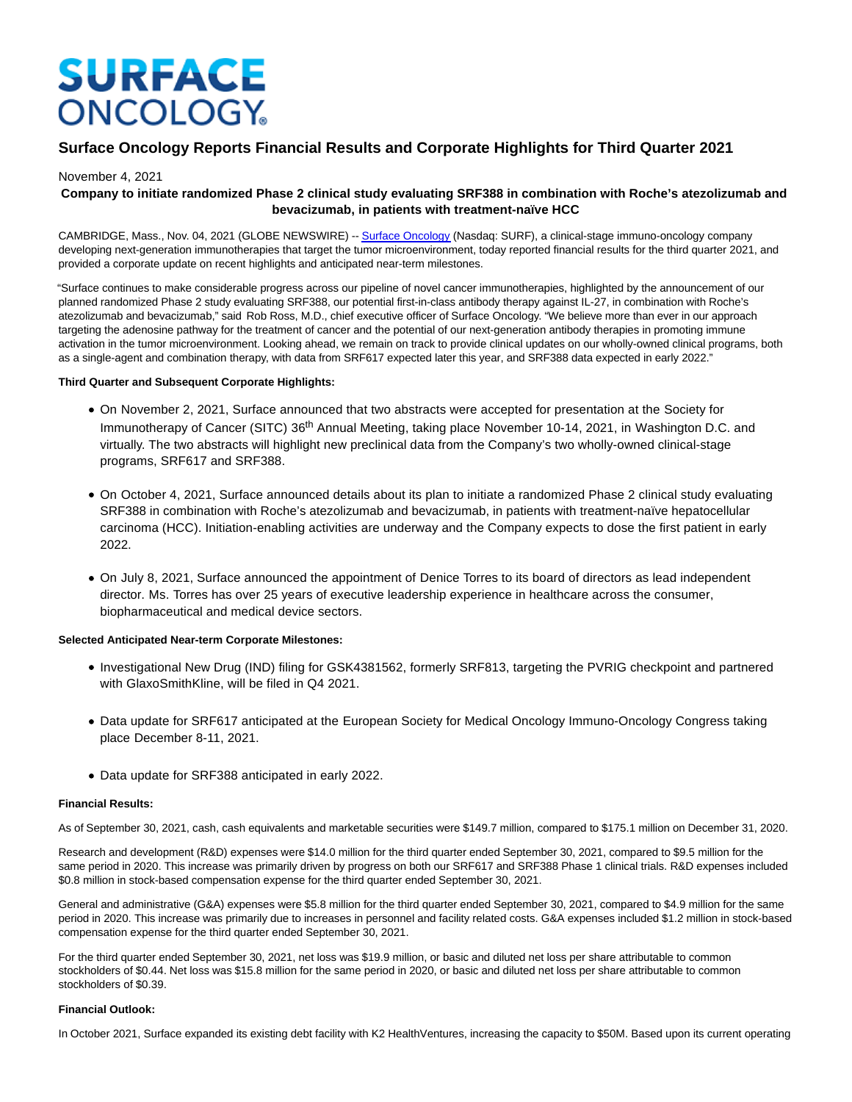# **SURFACE ONCOLOGY**

# **Surface Oncology Reports Financial Results and Corporate Highlights for Third Quarter 2021**

# November 4, 2021

# **Company to initiate randomized Phase 2 clinical study evaluating SRF388 in combination with Roche's atezolizumab and bevacizumab, in patients with treatment-naïve HCC**

CAMBRIDGE, Mass., Nov. 04, 2021 (GLOBE NEWSWIRE) -[- Surface Oncology \(](https://www.globenewswire.com/Tracker?data=QdFSzgRBtW31yv9ChxA9keObfcBVS0e0yMGcpSYeqPqM24IXeueevXZP3BGhagC-ZX6cC6CoECaggisb6Jj71XB484dQQ-JKRGg-f6taq6s=)Nasdaq: SURF), a clinical-stage immuno-oncology company developing next-generation immunotherapies that target the tumor microenvironment, today reported financial results for the third quarter 2021, and provided a corporate update on recent highlights and anticipated near-term milestones.

"Surface continues to make considerable progress across our pipeline of novel cancer immunotherapies, highlighted by the announcement of our planned randomized Phase 2 study evaluating SRF388, our potential first-in-class antibody therapy against IL-27, in combination with Roche's atezolizumab and bevacizumab," said Rob Ross, M.D., chief executive officer of Surface Oncology. "We believe more than ever in our approach targeting the adenosine pathway for the treatment of cancer and the potential of our next-generation antibody therapies in promoting immune activation in the tumor microenvironment. Looking ahead, we remain on track to provide clinical updates on our wholly-owned clinical programs, both as a single-agent and combination therapy, with data from SRF617 expected later this year, and SRF388 data expected in early 2022."

### **Third Quarter and Subsequent Corporate Highlights:**

- On November 2, 2021, Surface announced that two abstracts were accepted for presentation at the Society for Immunotherapy of Cancer (SITC) 36<sup>th</sup> Annual Meeting, taking place November 10-14, 2021, in Washington D.C. and virtually. The two abstracts will highlight new preclinical data from the Company's two wholly-owned clinical-stage programs, SRF617 and SRF388.
- On October 4, 2021, Surface announced details about its plan to initiate a randomized Phase 2 clinical study evaluating SRF388 in combination with Roche's atezolizumab and bevacizumab, in patients with treatment-naïve hepatocellular carcinoma (HCC). Initiation-enabling activities are underway and the Company expects to dose the first patient in early 2022.
- On July 8, 2021, Surface announced the appointment of Denice Torres to its board of directors as lead independent director. Ms. Torres has over 25 years of executive leadership experience in healthcare across the consumer, biopharmaceutical and medical device sectors.

## **Selected Anticipated Near-term Corporate Milestones:**

- Investigational New Drug (IND) filing for GSK4381562, formerly SRF813, targeting the PVRIG checkpoint and partnered with GlaxoSmithKline, will be filed in Q4 2021.
- Data update for SRF617 anticipated at the European Society for Medical Oncology Immuno-Oncology Congress taking place December 8-11, 2021.
- Data update for SRF388 anticipated in early 2022.

#### **Financial Results:**

As of September 30, 2021, cash, cash equivalents and marketable securities were \$149.7 million, compared to \$175.1 million on December 31, 2020.

Research and development (R&D) expenses were \$14.0 million for the third quarter ended September 30, 2021, compared to \$9.5 million for the same period in 2020. This increase was primarily driven by progress on both our SRF617 and SRF388 Phase 1 clinical trials. R&D expenses included \$0.8 million in stock-based compensation expense for the third quarter ended September 30, 2021.

General and administrative (G&A) expenses were \$5.8 million for the third quarter ended September 30, 2021, compared to \$4.9 million for the same period in 2020. This increase was primarily due to increases in personnel and facility related costs. G&A expenses included \$1.2 million in stock-based compensation expense for the third quarter ended September 30, 2021.

For the third quarter ended September 30, 2021, net loss was \$19.9 million, or basic and diluted net loss per share attributable to common stockholders of \$0.44. Net loss was \$15.8 million for the same period in 2020, or basic and diluted net loss per share attributable to common stockholders of \$0.39.

#### **Financial Outlook:**

In October 2021, Surface expanded its existing debt facility with K2 HealthVentures, increasing the capacity to \$50M. Based upon its current operating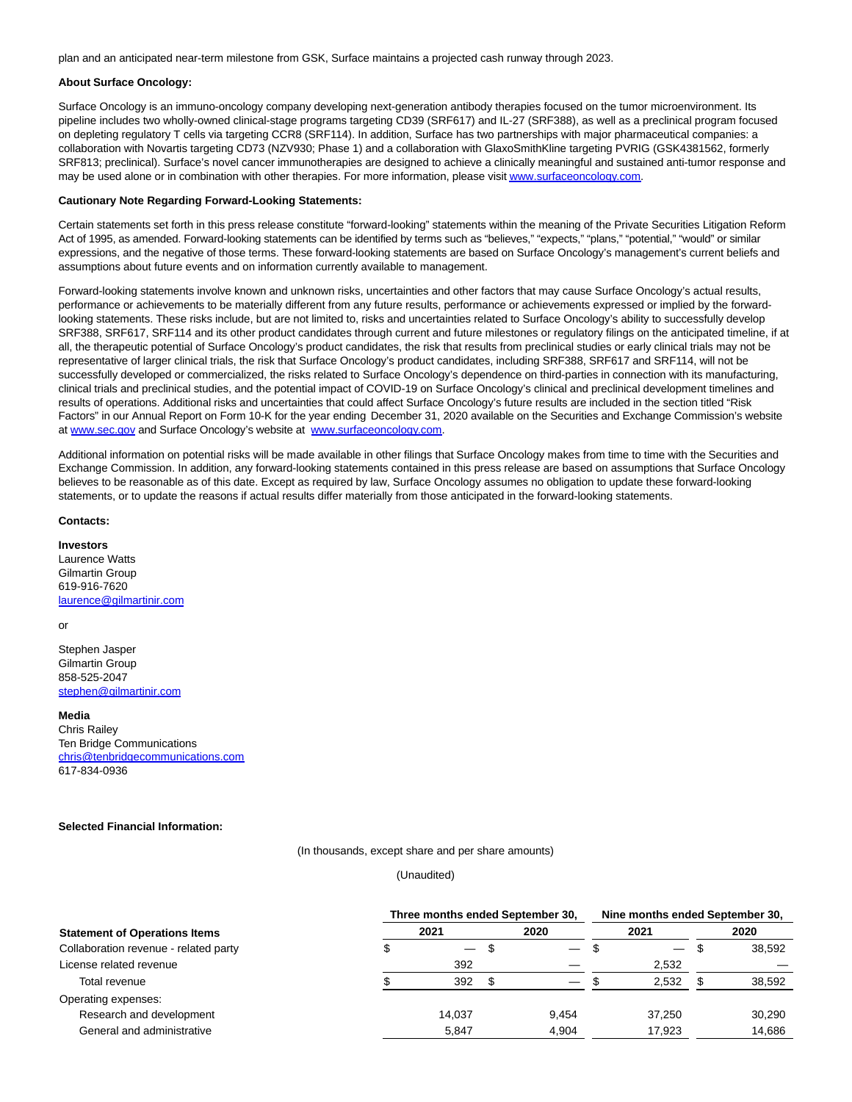plan and an anticipated near-term milestone from GSK, Surface maintains a projected cash runway through 2023.

#### **About Surface Oncology:**

Surface Oncology is an immuno-oncology company developing next-generation antibody therapies focused on the tumor microenvironment. Its pipeline includes two wholly-owned clinical-stage programs targeting CD39 (SRF617) and IL-27 (SRF388), as well as a preclinical program focused on depleting regulatory T cells via targeting CCR8 (SRF114). In addition, Surface has two partnerships with major pharmaceutical companies: a collaboration with Novartis targeting CD73 (NZV930; Phase 1) and a collaboration with GlaxoSmithKline targeting PVRIG (GSK4381562, formerly SRF813; preclinical). Surface's novel cancer immunotherapies are designed to achieve a clinically meaningful and sustained anti-tumor response and may be used alone or in combination with other therapies. For more information, please visi[t www.surfaceoncology.com.](https://www.globenewswire.com/Tracker?data=GUd0OKYSSa3hz57cd3IjwEHamfSasBOFBFb9Hk7CTt_KregImd5ocxslFrZrFLBkBlLPavN3d7-Um-jBIyrydy1Vl1gzqRo_hndyl7jmQbcJvmtWWyoiRJHR15yZ_h8o8dvBpYyymmQEAomavu6JyXtC70KuArmptKuUOhMofe1P-RulibW5xLcH82Kt2V5ad9cI6QyxTkInZduCwW8vN10e9Wr6oF9_SjoFw5uSpL0Kpw3XICAy6b3weP6T95aOPiRb9fKtUX0U1BexEVqb7g==)

#### **Cautionary Note Regarding Forward-Looking Statements:**

Certain statements set forth in this press release constitute "forward-looking" statements within the meaning of the Private Securities Litigation Reform Act of 1995, as amended. Forward-looking statements can be identified by terms such as "believes," "expects," "plans," "potential," "would" or similar expressions, and the negative of those terms. These forward-looking statements are based on Surface Oncology's management's current beliefs and assumptions about future events and on information currently available to management.

Forward-looking statements involve known and unknown risks, uncertainties and other factors that may cause Surface Oncology's actual results, performance or achievements to be materially different from any future results, performance or achievements expressed or implied by the forwardlooking statements. These risks include, but are not limited to, risks and uncertainties related to Surface Oncology's ability to successfully develop SRF388, SRF617, SRF114 and its other product candidates through current and future milestones or regulatory filings on the anticipated timeline, if at all, the therapeutic potential of Surface Oncology's product candidates, the risk that results from preclinical studies or early clinical trials may not be representative of larger clinical trials, the risk that Surface Oncology's product candidates, including SRF388, SRF617 and SRF114, will not be successfully developed or commercialized, the risks related to Surface Oncology's dependence on third-parties in connection with its manufacturing, clinical trials and preclinical studies, and the potential impact of COVID-19 on Surface Oncology's clinical and preclinical development timelines and results of operations. Additional risks and uncertainties that could affect Surface Oncology's future results are included in the section titled "Risk Factors" in our Annual Report on Form 10-K for the year ending December 31, 2020 available on the Securities and Exchange Commission's website at [www.sec.gov a](https://www.globenewswire.com/Tracker?data=qjNyStB7AL_UqYp_IEa0i9WXb2Zl8bFsHGydeu6cD6WdXYKLAfu_lR9ncSkMqws1_PCzBoAtsyep9HpQua0aIw==)nd Surface Oncology's website at [www.surfaceoncology.com.](https://www.globenewswire.com/Tracker?data=GUd0OKYSSa3hz57cd3IjwEHamfSasBOFBFb9Hk7CTt8O2A69NrE1c071uWtVIOz3wwSNFe8YhX59Fj3fqSrrwdy3JYdK-1ideKz7XHtccTU=)

Additional information on potential risks will be made available in other filings that Surface Oncology makes from time to time with the Securities and Exchange Commission. In addition, any forward-looking statements contained in this press release are based on assumptions that Surface Oncology believes to be reasonable as of this date. Except as required by law, Surface Oncology assumes no obligation to update these forward-looking statements, or to update the reasons if actual results differ materially from those anticipated in the forward-looking statements.

#### **Contacts:**

**Investors** Laurence Watts Gilmartin Group 619-916-7620

[laurence@gilmartinir.com](https://www.globenewswire.com/Tracker?data=UiOnU2SxKEMXM6-m2HIre6BuHAUYbdqc1fnENKIrXo4ZW7bAmlVXcCZqKNNYZ2hjAJrrENexn6pbjDvvjb0y2JU6hPZwHkPM171e0EHDqSg=)

#### or

Stephen Jasper Gilmartin Group 858-525-2047 [stephen@gilmartinir.com](https://www.globenewswire.com/Tracker?data=0NSd1VaP_FoPdAiHU7YJQnFJhy3JZDl6NbFmzXzcdWwnsIQeR6NtNEXHQ5Zb5Dy7DIVy7sclsuPUnDxjlPCLg9b3S1kfpJgLBNAGINWXzx4=)

#### **Media**

Chris Railey Ten Bridge Communications [chris@tenbridgecommunications.com](https://www.globenewswire.com/Tracker?data=c2zBWZhHijWaUXsoohCih5fd_Si9D5L9K-wp41d1ncvMPh-GVKF9ACX7t6jY-dlNnVTMwtPLbjsSZyAi8o4Me9qFqrsP2cNA_tSofR6PV-Jc4p2UOHnMgmmt_v-r2HzC) 617-834-0936

#### **Selected Financial Information:**

(In thousands, except share and per share amounts)

(Unaudited)

|                                       | Three months ended September 30, |                   |      |                               | Nine months ended September 30, |                          |      |        |
|---------------------------------------|----------------------------------|-------------------|------|-------------------------------|---------------------------------|--------------------------|------|--------|
| <b>Statement of Operations Items</b>  | 2021                             |                   | 2020 |                               | 2021                            |                          | 2020 |        |
| Collaboration revenue - related party |                                  | $\qquad \qquad -$ | - 30 | $\qquad \qquad -$             | .১                              | $\overline{\phantom{0}}$ | \$.  | 38,592 |
| License related revenue               |                                  | 392               |      |                               |                                 | 2,532                    |      |        |
| Total revenue                         |                                  | 392               |      | $\overbrace{\phantom{aaaaa}}$ |                                 | 2,532                    |      | 38,592 |
| Operating expenses:                   |                                  |                   |      |                               |                                 |                          |      |        |
| Research and development              |                                  | 14.037            |      | 9.454                         |                                 | 37.250                   |      | 30,290 |
| General and administrative            |                                  | 5.847             |      | 4.904                         |                                 | 17.923                   |      | 14.686 |